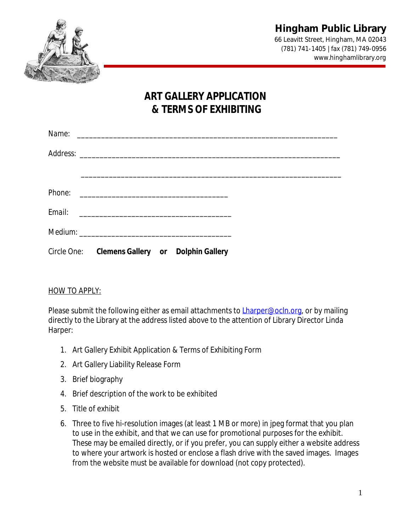

66 Leavitt Street, Hingham, MA 02043 (781) 741-1405 | fax (781) 749-0956 www.hinghamlibrary.org

# **ART GALLERY APPLICATION & TERMS OF EXHIBITING**

| Name:  |                                                |  |  |
|--------|------------------------------------------------|--|--|
|        |                                                |  |  |
|        |                                                |  |  |
|        |                                                |  |  |
| Email: |                                                |  |  |
|        |                                                |  |  |
|        | Circle One: Clemens Gallery or Dolphin Gallery |  |  |

### HOW TO APPLY:

Please submit the following either as email attachments to **Lharper@ocln.org**, or by mailing directly to the Library at the address listed above to the attention of Library Director Linda Harper:

- 1. Art Gallery Exhibit Application & Terms of Exhibiting Form
- 2. Art Gallery Liability Release Form
- 3. Brief biography
- 4. Brief description of the work to be exhibited
- 5. Title of exhibit
- 6. Three to five hi-resolution images (at least 1 MB or more) in jpeg format that you plan to use in the exhibit, and that we can use for promotional purposes for the exhibit. These may be emailed directly, or if you prefer, you can supply either a website address to where your artwork is hosted or enclose a flash drive with the saved images. Images from the website must be available for download (not copy protected).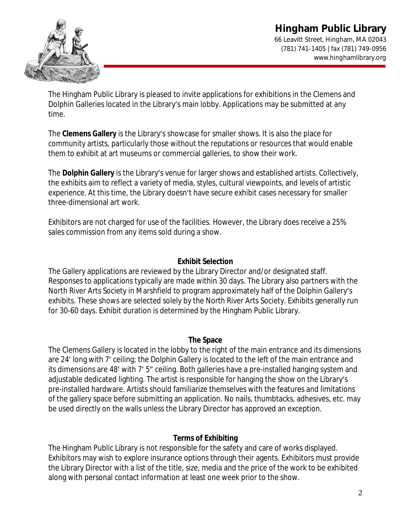# **Hingham Public Library** 66 Leavitt Street, Hingham, MA 02043 (781) 741-1405 | fax (781) 749-0956 www.hinghamlibrary.org



The Hingham Public Library is pleased to invite applications for exhibitions in the Clemens and Dolphin Galleries located in the Library's main lobby. Applications may be submitted at any time.

The **Clemens Gallery** is the Library's showcase for smaller shows. It is also the place for community artists, particularly those without the reputations or resources that would enable them to exhibit at art museums or commercial galleries, to show their work.

The **Dolphin Gallery** is the Library's venue for larger shows and established artists. Collectively, the exhibits aim to reflect a variety of media, styles, cultural viewpoints, and levels of artistic experience. At this time, the Library doesn't have secure exhibit cases necessary for smaller three-dimensional art work.

Exhibitors are not charged for use of the facilities. However, the Library does receive a 25% sales commission from any items sold during a show.

# **Exhibit Selection**

The Gallery applications are reviewed by the Library Director and/or designated staff. Responses to applications typically are made within 30 days. The Library also partners with the North River Arts Society in Marshfield to program approximately half of the Dolphin Gallery's exhibits. These shows are selected solely by the North River Arts Society. Exhibits generally run for 30-60 days. Exhibit duration is determined by the Hingham Public Library.

### **The Space**

The Clemens Gallery is located in the lobby to the right of the main entrance and its dimensions are 24' long with 7' ceiling; the Dolphin Gallery is located to the left of the main entrance and its dimensions are 48' with 7' 5" ceiling. Both galleries have a pre-installed hanging system and adjustable dedicated lighting. The artist is responsible for hanging the show on the Library's pre-installed hardware. Artists should familiarize themselves with the features and limitations of the gallery space before submitting an application. No nails, thumbtacks, adhesives, etc. may be used directly on the walls unless the Library Director has approved an exception.

# **Terms of Exhibiting**

The Hingham Public Library is not responsible for the safety and care of works displayed. Exhibitors may wish to explore insurance options through their agents. Exhibitors must provide the Library Director with a list of the title, size, media and the price of the work to be exhibited along with personal contact information at least one week prior to the show.